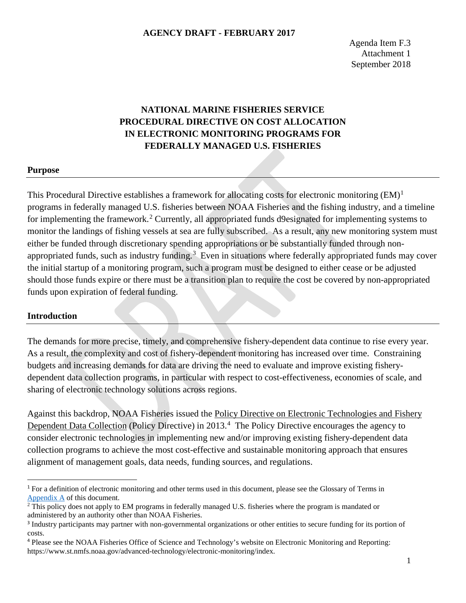# **NATIONAL MARINE FISHERIES SERVICE PROCEDURAL DIRECTIVE ON COST ALLOCATION IN ELECTRONIC MONITORING PROGRAMS FOR FEDERALLY MANAGED U.S. FISHERIES**

#### **Purpose**

This Procedural Directive establishes a framework for allocating costs for electronic monitoring (EM)<sup>[1](#page-0-0)</sup> programs in federally managed U.S. fisheries between NOAA Fisheries and the fishing industry, and a timeline for implementing the framework.<sup>[2](#page-0-1)</sup> Currently, all appropriated funds d9esignated for implementing systems to monitor the landings of fishing vessels at sea are fully subscribed. As a result, any new monitoring system must either be funded through discretionary spending appropriations or be substantially funded through non-appropriated funds, such as industry funding.<sup>[3](#page-0-2)</sup> Even in situations where federally appropriated funds may cover the initial startup of a monitoring program, such a program must be designed to either cease or be adjusted should those funds expire or there must be a transition plan to require the cost be covered by non-appropriated funds upon expiration of federal funding.

#### **Introduction**

The demands for more precise, timely, and comprehensive fishery-dependent data continue to rise every year. As a result, the complexity and cost of fishery-dependent monitoring has increased over time. Constraining budgets and increasing demands for data are driving the need to evaluate and improve existing fisherydependent data collection programs, in particular with respect to cost-effectiveness, economies of scale, and sharing of electronic technology solutions across regions.

Against this backdrop, NOAA Fisheries issued the Policy Directive on Electronic Technologies and Fishery Dependent Data Collection (Policy Directive) in 2013.<sup>[4](#page-0-3)</sup> The Policy Directive encourages the agency to consider electronic technologies in implementing new and/or improving existing fishery-dependent data collection programs to achieve the most cost-effective and sustainable monitoring approach that ensures alignment of management goals, data needs, funding sources, and regulations.

<span id="page-0-0"></span><sup>&</sup>lt;sup>1</sup> For a definition of electronic monitoring and other terms used in this document, please see the Glossary of Terms in [Appendix A](#page-5-0) of this document.

<span id="page-0-1"></span><sup>&</sup>lt;sup>2</sup> This policy does not apply to EM programs in federally managed U.S. fisheries where the program is mandated or administered by an authority other than NOAA Fisheries.

<span id="page-0-2"></span><sup>&</sup>lt;sup>3</sup> Industry participants may partner with non-governmental organizations or other entities to secure funding for its portion of costs.

<span id="page-0-3"></span><sup>4</sup> Please see the NOAA Fisheries Office of Science and Technology's website on Electronic Monitoring and Reporting: https://www.st.nmfs.noaa.gov/advanced-technology/electronic-monitoring/index.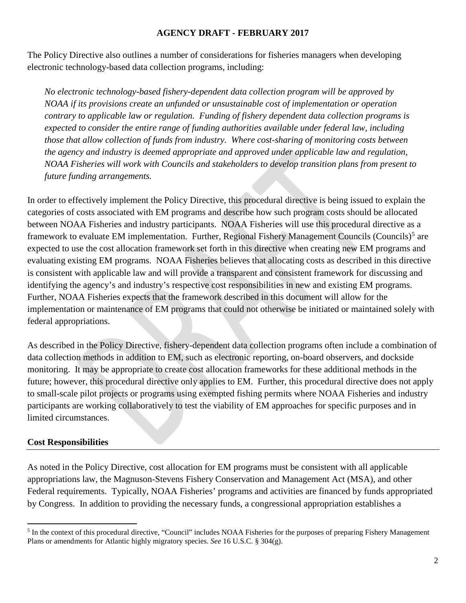The Policy Directive also outlines a number of considerations for fisheries managers when developing electronic technology-based data collection programs, including:

*No electronic technology-based fishery-dependent data collection program will be approved by NOAA if its provisions create an unfunded or unsustainable cost of implementation or operation contrary to applicable law or regulation. Funding of fishery dependent data collection programs is expected to consider the entire range of funding authorities available under federal law, including those that allow collection of funds from industry. Where cost-sharing of monitoring costs between the agency and industry is deemed appropriate and approved under applicable law and regulation, NOAA Fisheries will work with Councils and stakeholders to develop transition plans from present to future funding arrangements.*

In order to effectively implement the Policy Directive, this procedural directive is being issued to explain the categories of costs associated with EM programs and describe how such program costs should be allocated between NOAA Fisheries and industry participants. NOAA Fisheries will use this procedural directive as a framework to evaluate EM implementation. Further, Regional Fishery Management Councils (Councils)<sup>[5](#page-1-0)</sup> are expected to use the cost allocation framework set forth in this directive when creating new EM programs and evaluating existing EM programs. NOAA Fisheries believes that allocating costs as described in this directive is consistent with applicable law and will provide a transparent and consistent framework for discussing and identifying the agency's and industry's respective cost responsibilities in new and existing EM programs. Further, NOAA Fisheries expects that the framework described in this document will allow for the implementation or maintenance of EM programs that could not otherwise be initiated or maintained solely with federal appropriations.

As described in the Policy Directive, fishery-dependent data collection programs often include a combination of data collection methods in addition to EM, such as electronic reporting, on-board observers, and dockside monitoring. It may be appropriate to create cost allocation frameworks for these additional methods in the future; however, this procedural directive only applies to EM. Further, this procedural directive does not apply to small-scale pilot projects or programs using exempted fishing permits where NOAA Fisheries and industry participants are working collaboratively to test the viability of EM approaches for specific purposes and in limited circumstances.

## **Cost Responsibilities**

l

As noted in the Policy Directive, cost allocation for EM programs must be consistent with all applicable appropriations law, the Magnuson-Stevens Fishery Conservation and Management Act (MSA), and other Federal requirements. Typically, NOAA Fisheries' programs and activities are financed by funds appropriated by Congress. In addition to providing the necessary funds, a congressional appropriation establishes a

<span id="page-1-0"></span><sup>&</sup>lt;sup>5</sup> In the context of this procedural directive, "Council" includes NOAA Fisheries for the purposes of preparing Fishery Management Plans or amendments for Atlantic highly migratory species. *See* 16 U.S.C. § 304(g).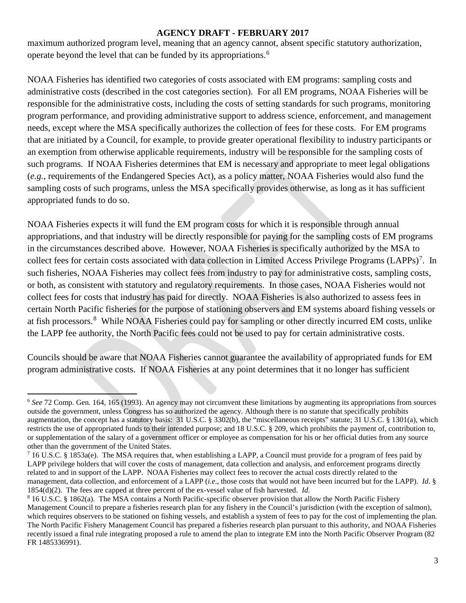maximum authorized program level, meaning that an agency cannot, absent specific statutory authorization, operate beyond the level that can be funded by its appropriations.[6](#page-2-0)

NOAA Fisheries has identified two categories of costs associated with EM programs: sampling costs and administrative costs (described in the cost categories section). For all EM programs, NOAA Fisheries will be responsible for the administrative costs, including the costs of setting standards for such programs, monitoring program performance, and providing administrative support to address science, enforcement, and management needs, except where the MSA specifically authorizes the collection of fees for these costs. For EM programs that are initiated by a Council, for example, to provide greater operational flexibility to industry participants or an exemption from otherwise applicable requirements, industry will be responsible for the sampling costs of such programs. If NOAA Fisheries determines that EM is necessary and appropriate to meet legal obligations (*e.g.*, requirements of the Endangered Species Act), as a policy matter, NOAA Fisheries would also fund the sampling costs of such programs, unless the MSA specifically provides otherwise, as long as it has sufficient appropriated funds to do so.

NOAA Fisheries expects it will fund the EM program costs for which it is responsible through annual appropriations, and that industry will be directly responsible for paying for the sampling costs of EM programs in the circumstances described above. However, NOAA Fisheries is specifically authorized by the MSA to collect fees for certain costs associated with data collection in Limited Access Privilege Programs (LAPPs)<sup>[7](#page-2-1)</sup>. In such fisheries, NOAA Fisheries may collect fees from industry to pay for administrative costs, sampling costs, or both, as consistent with statutory and regulatory requirements. In those cases, NOAA Fisheries would not collect fees for costs that industry has paid for directly. NOAA Fisheries is also authorized to assess fees in certain North Pacific fisheries for the purpose of stationing observers and EM systems aboard fishing vessels or at fish processors.[8](#page-2-2) While NOAA Fisheries could pay for sampling or other directly incurred EM costs, unlike the LAPP fee authority, the North Pacific fees could not be used to pay for certain administrative costs.

Councils should be aware that NOAA Fisheries cannot guarantee the availability of appropriated funds for EM program administrative costs. If NOAA Fisheries at any point determines that it no longer has sufficient

<span id="page-2-0"></span>l <sup>6</sup> See 72 Comp. Gen. 164, 165 (1993). An agency may not circumvent these limitations by augmenting its appropriations from sources outside the government, unless Congress has so authorized the agency. Although there is no statute that specifically prohibits augmentation, the concept has a statutory basis: 31 U.S.C. § 3302(b), the "miscellaneous receipts" statute; 31 U.S.C. § 1301(a), which restricts the use of appropriated funds to their intended purpose; and 18 U.S.C. § 209, which prohibits the payment of, contribution to, or supplementation of the salary of a government officer or employee as compensation for his or her official duties from any source other than the government of the United States.

<span id="page-2-1"></span> $716$  U.S.C. § 1853a(e). The MSA requires that, when establishing a LAPP, a Council must provide for a program of fees paid by LAPP privilege holders that will cover the costs of management, data collection and analysis, and enforcement programs directly related to and in support of the LAPP. NOAA Fisheries may collect fees to recover the actual costs directly related to the management, data collection, and enforcement of a LAPP (*i.e*., those costs that would not have been incurred but for the LAPP). *Id*. § 1854(d)(2). The fees are capped at three percent of the ex-vessel value of fish harvested. *Id.* 

<span id="page-2-2"></span><sup>8</sup> 16 U.S.C. § 1862(a). The MSA contains a North Pacific-specific observer provision that allow the North Pacific Fishery Management Council to prepare a fisheries research plan for any fishery in the Council's jurisdiction (with the exception of salmon), which requires observers to be stationed on fishing vessels, and establish a system of fees to pay for the cost of implementing the plan. The North Pacific Fishery Management Council has prepared a fisheries research plan pursuant to this authority, and NOAA Fisheries recently issued a final rule integrating proposed a rule to amend the plan to integrate EM into the North Pacific Observer Program (82 FR 1485336991).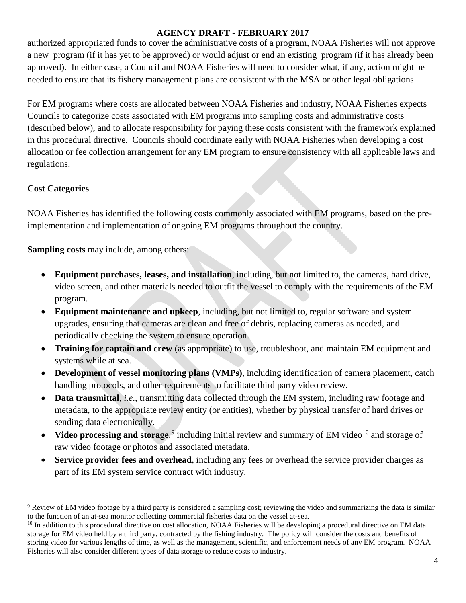authorized appropriated funds to cover the administrative costs of a program, NOAA Fisheries will not approve a new program (if it has yet to be approved) or would adjust or end an existing program (if it has already been approved). In either case, a Council and NOAA Fisheries will need to consider what, if any, action might be needed to ensure that its fishery management plans are consistent with the MSA or other legal obligations.

For EM programs where costs are allocated between NOAA Fisheries and industry, NOAA Fisheries expects Councils to categorize costs associated with EM programs into sampling costs and administrative costs (described below), and to allocate responsibility for paying these costs consistent with the framework explained in this procedural directive. Councils should coordinate early with NOAA Fisheries when developing a cost allocation or fee collection arrangement for any EM program to ensure consistency with all applicable laws and regulations.

### **Cost Categories**

l

NOAA Fisheries has identified the following costs commonly associated with EM programs, based on the preimplementation and implementation of ongoing EM programs throughout the country.

**Sampling costs** may include, among others:

- **Equipment purchases, leases, and installation**, including, but not limited to, the cameras, hard drive, video screen, and other materials needed to outfit the vessel to comply with the requirements of the EM program.
- **Equipment maintenance and upkeep**, including, but not limited to, regular software and system upgrades, ensuring that cameras are clean and free of debris, replacing cameras as needed, and periodically checking the system to ensure operation.
- **Training for captain and crew** (as appropriate) to use, troubleshoot, and maintain EM equipment and systems while at sea.
- **Development of vessel monitoring plans (VMPs)**, including identification of camera placement, catch handling protocols, and other requirements to facilitate third party video review.
- **Data transmittal**, *i.e*., transmitting data collected through the EM system, including raw footage and metadata, to the appropriate review entity (or entities), whether by physical transfer of hard drives or sending data electronically.
- Video processing and storage,<sup>[9](#page-3-0)</sup> including initial review and summary of EM video<sup>[10](#page-3-1)</sup> and storage of raw video footage or photos and associated metadata.
- **Service provider fees and overhead**, including any fees or overhead the service provider charges as part of its EM system service contract with industry.

<span id="page-3-0"></span><sup>&</sup>lt;sup>9</sup> Review of EM video footage by a third party is considered a sampling cost; reviewing the video and summarizing the data is similar to the function of an at-sea monitor collecting commercial fisheries data on the vessel at-sea.<br><sup>10</sup> In addition to this procedural directive on cost allocation, NOAA Fisheries will be developing a procedural directive on

<span id="page-3-1"></span>storage for EM video held by a third party, contracted by the fishing industry. The policy will consider the costs and benefits of storing video for various lengths of time, as well as the management, scientific, and enforcement needs of any EM program. NOAA Fisheries will also consider different types of data storage to reduce costs to industry.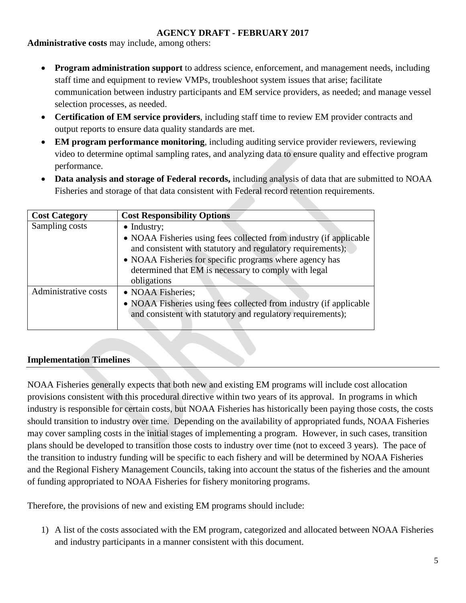**Administrative costs** may include, among others:

- **Program administration support** to address science, enforcement, and management needs, including staff time and equipment to review VMPs, troubleshoot system issues that arise; facilitate communication between industry participants and EM service providers, as needed; and manage vessel selection processes, as needed.
- **Certification of EM service providers**, including staff time to review EM provider contracts and output reports to ensure data quality standards are met.
- **EM program performance monitoring**, including auditing service provider reviewers, reviewing video to determine optimal sampling rates, and analyzing data to ensure quality and effective program performance.
- **Data analysis and storage of Federal records,** including analysis of data that are submitted to NOAA Fisheries and storage of that data consistent with Federal record retention requirements.

| <b>Cost Category</b> | <b>Cost Responsibility Options</b>                                                                                                                                                                                                                                                         |
|----------------------|--------------------------------------------------------------------------------------------------------------------------------------------------------------------------------------------------------------------------------------------------------------------------------------------|
| Sampling costs       | $\bullet$ Industry;<br>• NOAA Fisheries using fees collected from industry (if applicable<br>and consistent with statutory and regulatory requirements);<br>• NOAA Fisheries for specific programs where agency has<br>determined that EM is necessary to comply with legal<br>obligations |
| Administrative costs | • NOAA Fisheries;<br>• NOAA Fisheries using fees collected from industry (if applicable<br>and consistent with statutory and regulatory requirements);                                                                                                                                     |

## **Implementation Timelines**

NOAA Fisheries generally expects that both new and existing EM programs will include cost allocation provisions consistent with this procedural directive within two years of its approval. In programs in which industry is responsible for certain costs, but NOAA Fisheries has historically been paying those costs, the costs should transition to industry over time. Depending on the availability of appropriated funds, NOAA Fisheries may cover sampling costs in the initial stages of implementing a program. However, in such cases, transition plans should be developed to transition those costs to industry over time (not to exceed 3 years). The pace of the transition to industry funding will be specific to each fishery and will be determined by NOAA Fisheries and the Regional Fishery Management Councils, taking into account the status of the fisheries and the amount of funding appropriated to NOAA Fisheries for fishery monitoring programs.

Therefore, the provisions of new and existing EM programs should include:

1) A list of the costs associated with the EM program, categorized and allocated between NOAA Fisheries and industry participants in a manner consistent with this document.